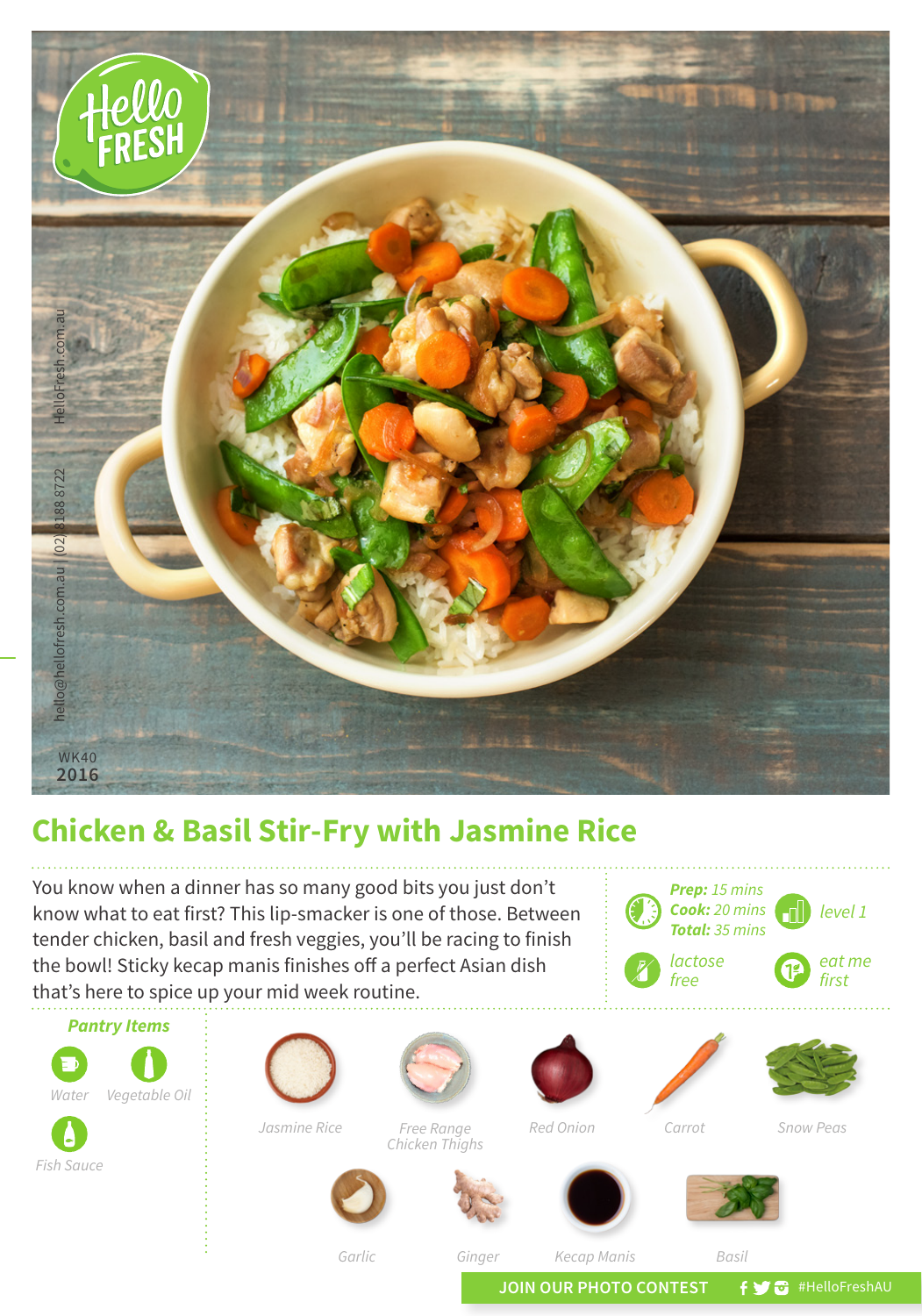

## **Chicken & Basil Stir-Fry with Jasmine Rice**

You know when a dinner has so many good bits you just don't know what to eat first? This lip-smacker is one of those. Between tender chicken, basil and fresh veggies, you'll be racing to finish the bowl! Sticky kecap manis finishes off a perfect Asian dish that's here to spice up your mid week routine.



*Garlic*

*Ginger Kecap Manis*

*Basil*

*Prep: 15 mins Cook: 20 mins Total: 35 mins*

*lactose free*

JOIN OUR PHOTO CONTEST **f y** a #HelloFreshAU

*level 1* 

*eat me first*